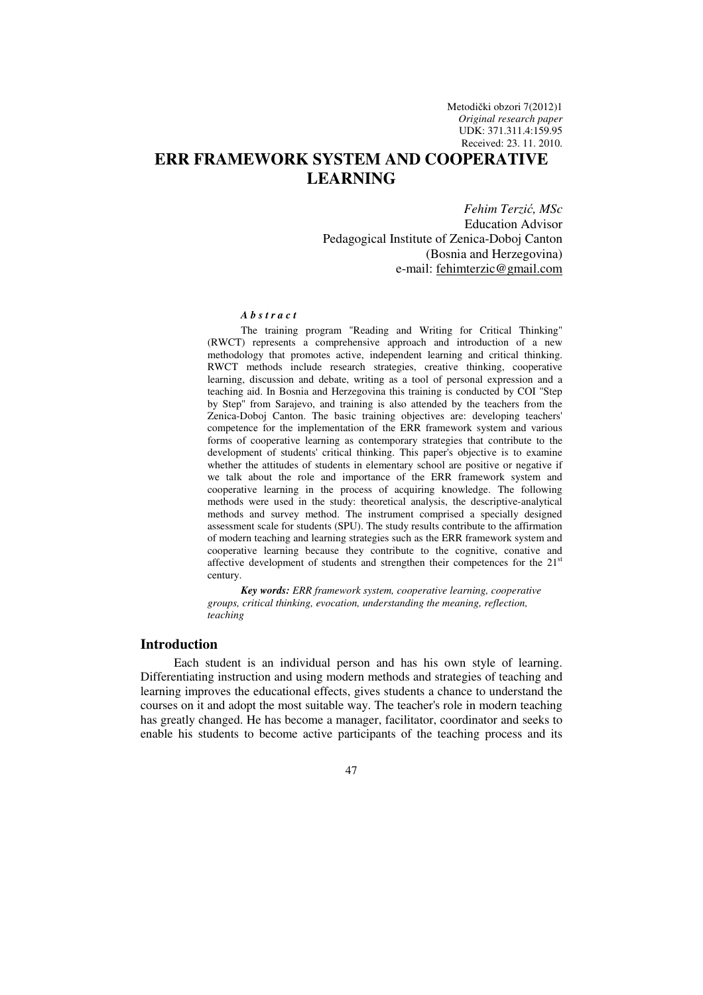Metodički obzori 7(2012)1 *Original research paper*  UDK: 371.311.4:159.95 Received: 23. 11. 2010.

# **ERR FRAMEWORK SYSTEM AND COOPERATIVE LEARNING**

*Fehim Terzi*ć*, MSc*  Education Advisor Pedagogical Institute of Zenica-Doboj Canton (Bosnia and Herzegovina) e-mail: fehimterzic@gmail.com

#### *A b s t r a c t*

The training program "Reading and Writing for Critical Thinking" (RWCT) represents a comprehensive approach and introduction of a new methodology that promotes active, independent learning and critical thinking. RWCT methods include research strategies, creative thinking, cooperative learning, discussion and debate, writing as a tool of personal expression and a teaching aid. In Bosnia and Herzegovina this training is conducted by COI ''Step by Step'' from Sarajevo, and training is also attended by the teachers from the Zenica-Doboj Canton. The basic training objectives are: developing teachers' competence for the implementation of the ERR framework system and various forms of cooperative learning as contemporary strategies that contribute to the development of students' critical thinking. This paper's objective is to examine whether the attitudes of students in elementary school are positive or negative if we talk about the role and importance of the ERR framework system and cooperative learning in the process of acquiring knowledge. The following methods were used in the study: theoretical analysis, the descriptive-analytical methods and survey method. The instrument comprised a specially designed assessment scale for students (SPU). The study results contribute to the affirmation of modern teaching and learning strategies such as the ERR framework system and cooperative learning because they contribute to the cognitive, conative and affective development of students and strengthen their competences for the 21<sup>st</sup> century.

*Key words: ERR framework system, cooperative learning, cooperative groups, critical thinking, evocation, understanding the meaning, reflection, teaching*

#### **Introduction**

Each student is an individual person and has his own style of learning. Differentiating instruction and using modern methods and strategies of teaching and learning improves the educational effects, gives students a chance to understand the courses on it and adopt the most suitable way. The teacher's role in modern teaching has greatly changed. He has become a manager, facilitator, coordinator and seeks to enable his students to become active participants of the teaching process and its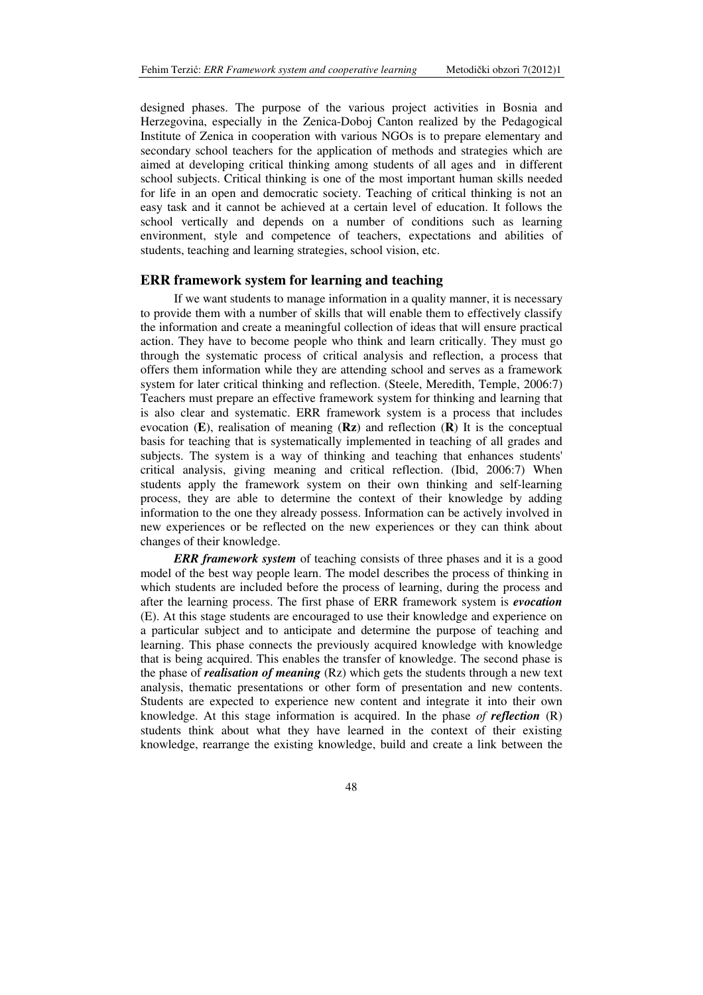designed phases. The purpose of the various project activities in Bosnia and Herzegovina, especially in the Zenica-Doboj Canton realized by the Pedagogical Institute of Zenica in cooperation with various NGOs is to prepare elementary and secondary school teachers for the application of methods and strategies which are aimed at developing critical thinking among students of all ages and in different school subjects. Critical thinking is one of the most important human skills needed for life in an open and democratic society. Teaching of critical thinking is not an easy task and it cannot be achieved at a certain level of education. It follows the school vertically and depends on a number of conditions such as learning environment, style and competence of teachers, expectations and abilities of students, teaching and learning strategies, school vision, etc.

### **ERR framework system for learning and teaching**

If we want students to manage information in a quality manner, it is necessary to provide them with a number of skills that will enable them to effectively classify the information and create a meaningful collection of ideas that will ensure practical action. They have to become people who think and learn critically. They must go through the systematic process of critical analysis and reflection, a process that offers them information while they are attending school and serves as a framework system for later critical thinking and reflection. (Steele, Meredith, Temple, 2006:7) Teachers must prepare an effective framework system for thinking and learning that is also clear and systematic. ERR framework system is a process that includes evocation (**E**), realisation of meaning (**Rz**) and reflection (**R**) It is the conceptual basis for teaching that is systematically implemented in teaching of all grades and subjects. The system is a way of thinking and teaching that enhances students' critical analysis, giving meaning and critical reflection. (Ibid, 2006:7) When students apply the framework system on their own thinking and self-learning process, they are able to determine the context of their knowledge by adding information to the one they already possess. Information can be actively involved in new experiences or be reflected on the new experiences or they can think about changes of their knowledge.

*ERR framework system* of teaching consists of three phases and it is a good model of the best way people learn. The model describes the process of thinking in which students are included before the process of learning, during the process and after the learning process. The first phase of ERR framework system is *evocation* (E). At this stage students are encouraged to use their knowledge and experience on a particular subject and to anticipate and determine the purpose of teaching and learning. This phase connects the previously acquired knowledge with knowledge that is being acquired. This enables the transfer of knowledge. The second phase is the phase of *realisation of meaning* (Rz) which gets the students through a new text analysis, thematic presentations or other form of presentation and new contents. Students are expected to experience new content and integrate it into their own knowledge. At this stage information is acquired. In the phase *of reflection* (R) students think about what they have learned in the context of their existing knowledge, rearrange the existing knowledge, build and create a link between the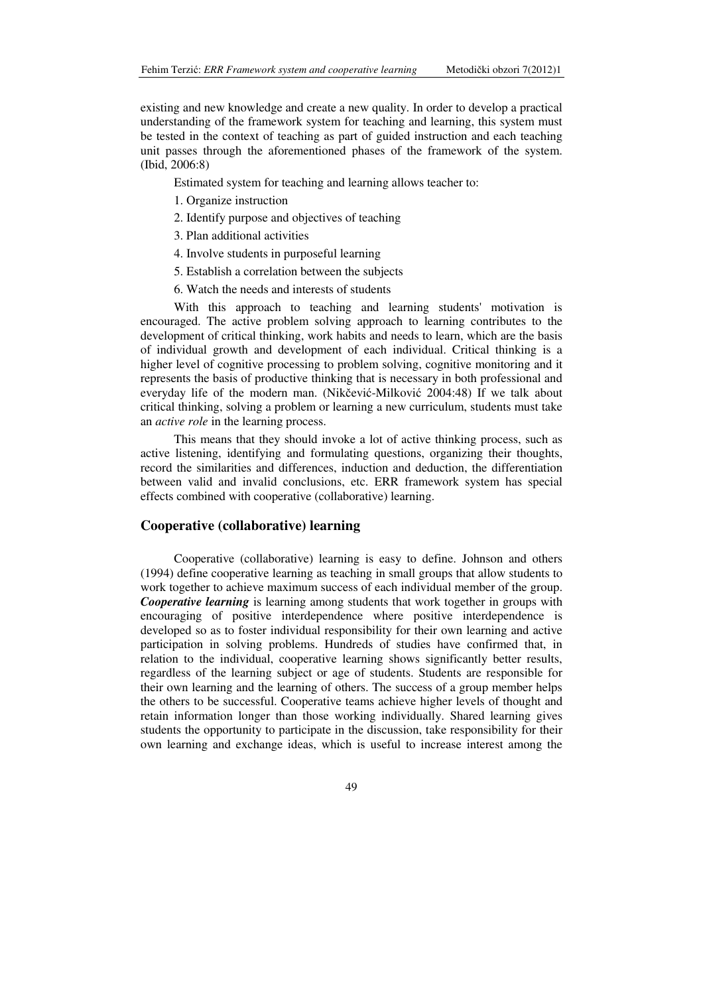existing and new knowledge and create a new quality. In order to develop a practical understanding of the framework system for teaching and learning, this system must be tested in the context of teaching as part of guided instruction and each teaching unit passes through the aforementioned phases of the framework of the system. (Ibid, 2006:8)

Estimated system for teaching and learning allows teacher to:

- 1. Organize instruction
- 2. Identify purpose and objectives of teaching
- 3. Plan additional activities
- 4. Involve students in purposeful learning
- 5. Establish a correlation between the subjects
- 6. Watch the needs and interests of students

With this approach to teaching and learning students' motivation is encouraged. The active problem solving approach to learning contributes to the development of critical thinking, work habits and needs to learn, which are the basis of individual growth and development of each individual. Critical thinking is a higher level of cognitive processing to problem solving, cognitive monitoring and it represents the basis of productive thinking that is necessary in both professional and everyday life of the modern man. (Nikčević-Milković 2004:48) If we talk about critical thinking, solving a problem or learning a new curriculum, students must take an *active role* in the learning process.

This means that they should invoke a lot of active thinking process, such as active listening, identifying and formulating questions, organizing their thoughts, record the similarities and differences, induction and deduction, the differentiation between valid and invalid conclusions, etc. ERR framework system has special effects combined with cooperative (collaborative) learning.

### **Cooperative (collaborative) learning**

Cooperative (collaborative) learning is easy to define. Johnson and others (1994) define cooperative learning as teaching in small groups that allow students to work together to achieve maximum success of each individual member of the group. *Cooperative learning* is learning among students that work together in groups with encouraging of positive interdependence where positive interdependence is developed so as to foster individual responsibility for their own learning and active participation in solving problems. Hundreds of studies have confirmed that, in relation to the individual, cooperative learning shows significantly better results, regardless of the learning subject or age of students. Students are responsible for their own learning and the learning of others. The success of a group member helps the others to be successful. Cooperative teams achieve higher levels of thought and retain information longer than those working individually. Shared learning gives students the opportunity to participate in the discussion, take responsibility for their own learning and exchange ideas, which is useful to increase interest among the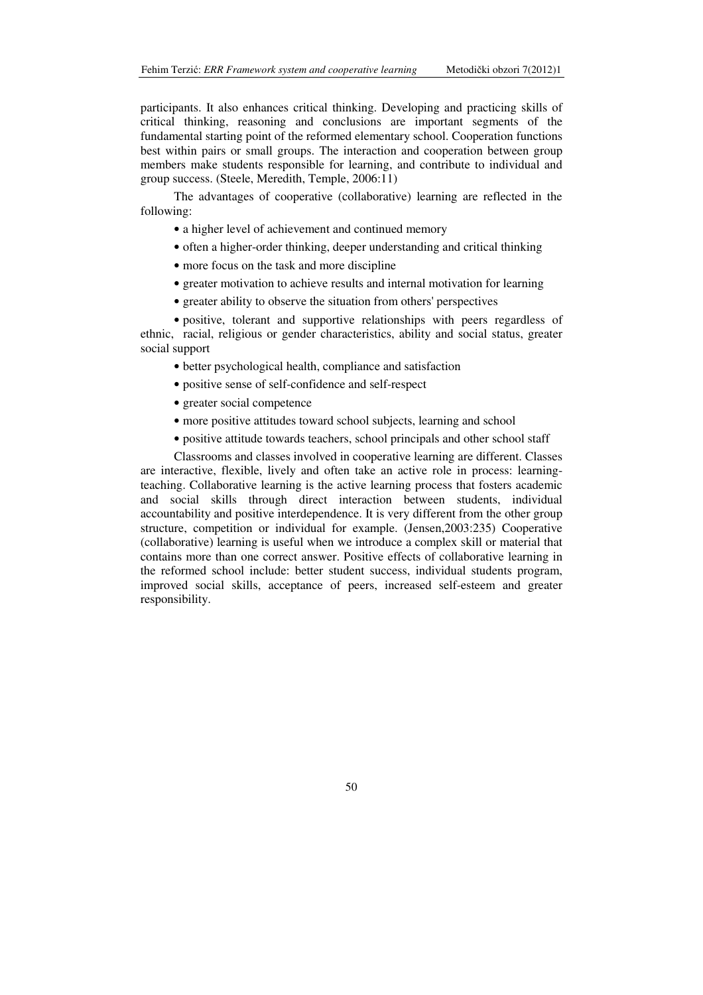participants. It also enhances critical thinking. Developing and practicing skills of critical thinking, reasoning and conclusions are important segments of the fundamental starting point of the reformed elementary school. Cooperation functions best within pairs or small groups. The interaction and cooperation between group members make students responsible for learning, and contribute to individual and group success. (Steele, Meredith, Temple, 2006:11)

The advantages of cooperative (collaborative) learning are reflected in the following:

- a higher level of achievement and continued memory
- often a higher-order thinking, deeper understanding and critical thinking
- more focus on the task and more discipline
- greater motivation to achieve results and internal motivation for learning
- greater ability to observe the situation from others' perspectives

• positive, tolerant and supportive relationships with peers regardless of ethnic, racial, religious or gender characteristics, ability and social status, greater social support

- better psychological health, compliance and satisfaction
- positive sense of self-confidence and self-respect
- greater social competence
- more positive attitudes toward school subjects, learning and school
- positive attitude towards teachers, school principals and other school staff

Classrooms and classes involved in cooperative learning are different. Classes are interactive, flexible, lively and often take an active role in process: learningteaching. Collaborative learning is the active learning process that fosters academic and social skills through direct interaction between students, individual accountability and positive interdependence. It is very different from the other group structure, competition or individual for example. (Jensen,2003:235) Cooperative (collaborative) learning is useful when we introduce a complex skill or material that contains more than one correct answer. Positive effects of collaborative learning in the reformed school include: better student success, individual students program, improved social skills, acceptance of peers, increased self-esteem and greater responsibility.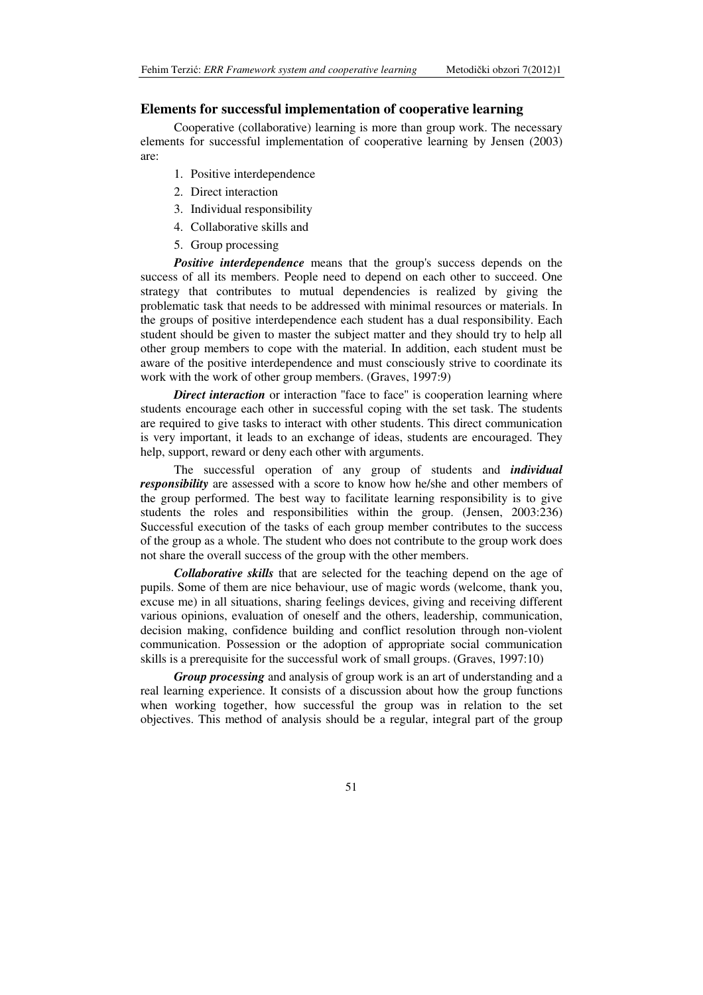### **Elements for successful implementation of cooperative learning**

Cooperative (collaborative) learning is more than group work. The necessary elements for successful implementation of cooperative learning by Jensen (2003) are:

- 1. Positive interdependence
- 2. Direct interaction
- 3. Individual responsibility
- 4. Collaborative skills and
- 5. Group processing

**Positive interdependence** means that the group's success depends on the success of all its members. People need to depend on each other to succeed. One strategy that contributes to mutual dependencies is realized by giving the problematic task that needs to be addressed with minimal resources or materials. In the groups of positive interdependence each student has a dual responsibility. Each student should be given to master the subject matter and they should try to help all other group members to cope with the material. In addition, each student must be aware of the positive interdependence and must consciously strive to coordinate its work with the work of other group members. (Graves, 1997:9)

*Direct interaction* or interaction "face to face" is cooperation learning where students encourage each other in successful coping with the set task. The students are required to give tasks to interact with other students. This direct communication is very important, it leads to an exchange of ideas, students are encouraged. They help, support, reward or deny each other with arguments.

The successful operation of any group of students and *individual responsibility* are assessed with a score to know how he/she and other members of the group performed. The best way to facilitate learning responsibility is to give students the roles and responsibilities within the group. (Jensen, 2003:236) Successful execution of the tasks of each group member contributes to the success of the group as a whole. The student who does not contribute to the group work does not share the overall success of the group with the other members.

*Collaborative skills* that are selected for the teaching depend on the age of pupils. Some of them are nice behaviour, use of magic words (welcome, thank you, excuse me) in all situations, sharing feelings devices, giving and receiving different various opinions, evaluation of oneself and the others, leadership, communication, decision making, confidence building and conflict resolution through non-violent communication. Possession or the adoption of appropriate social communication skills is a prerequisite for the successful work of small groups. (Graves, 1997:10)

*Group processing* and analysis of group work is an art of understanding and a real learning experience. It consists of a discussion about how the group functions when working together, how successful the group was in relation to the set objectives. This method of analysis should be a regular, integral part of the group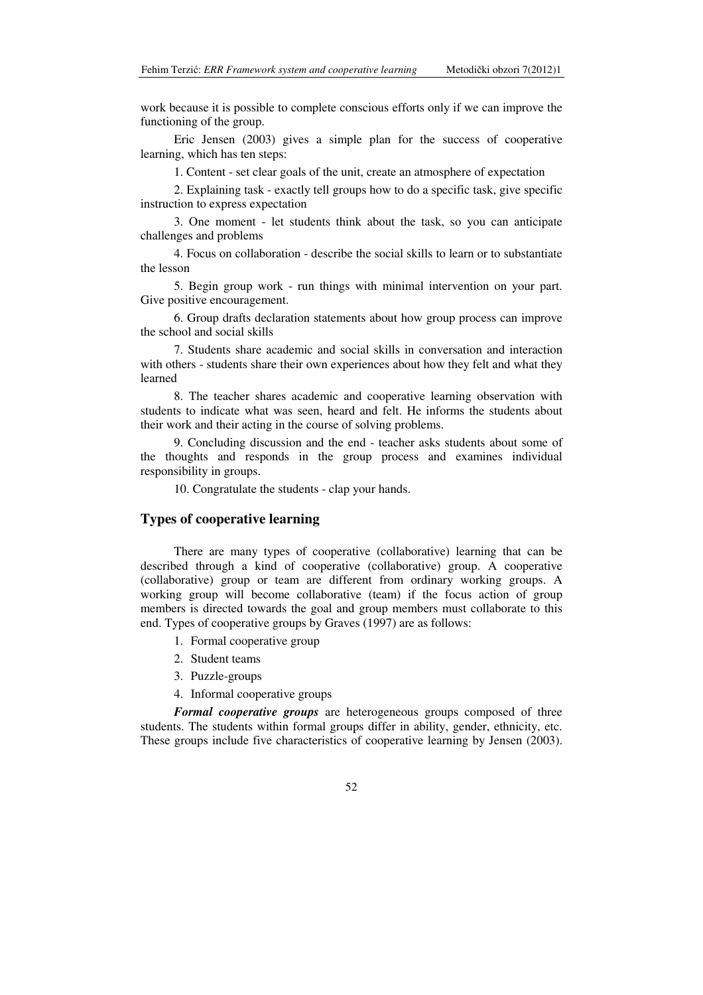work because it is possible to complete conscious efforts only if we can improve the functioning of the group.

Eric Jensen (2003) gives a simple plan for the success of cooperative learning, which has ten steps:

1. Content - set clear goals of the unit, create an atmosphere of expectation

2. Explaining task - exactly tell groups how to do a specific task, give specific instruction to express expectation

3. One moment - let students think about the task, so you can anticipate challenges and problems

4. Focus on collaboration - describe the social skills to learn or to substantiate the lesson

5. Begin group work - run things with minimal intervention on your part. Give positive encouragement.

6. Group drafts declaration statements about how group process can improve the school and social skills

7. Students share academic and social skills in conversation and interaction with others - students share their own experiences about how they felt and what they learned

8. The teacher shares academic and cooperative learning observation with students to indicate what was seen, heard and felt. He informs the students about their work and their acting in the course of solving problems.

9. Concluding discussion and the end - teacher asks students about some of the thoughts and responds in the group process and examines individual responsibility in groups.

10. Congratulate the students - clap your hands.

#### **Types of cooperative learning**

There are many types of cooperative (collaborative) learning that can be described through a kind of cooperative (collaborative) group. A cooperative (collaborative) group or team are different from ordinary working groups. A working group will become collaborative (team) if the focus action of group members is directed towards the goal and group members must collaborate to this end. Types of cooperative groups by Graves (1997) are as follows:

- 1. Formal cooperative group
- 2. Student teams
- 3. Puzzle-groups
- 4. Informal cooperative groups

*Formal cooperative groups* are heterogeneous groups composed of three students. The students within formal groups differ in ability, gender, ethnicity, etc. These groups include five characteristics of cooperative learning by Jensen (2003).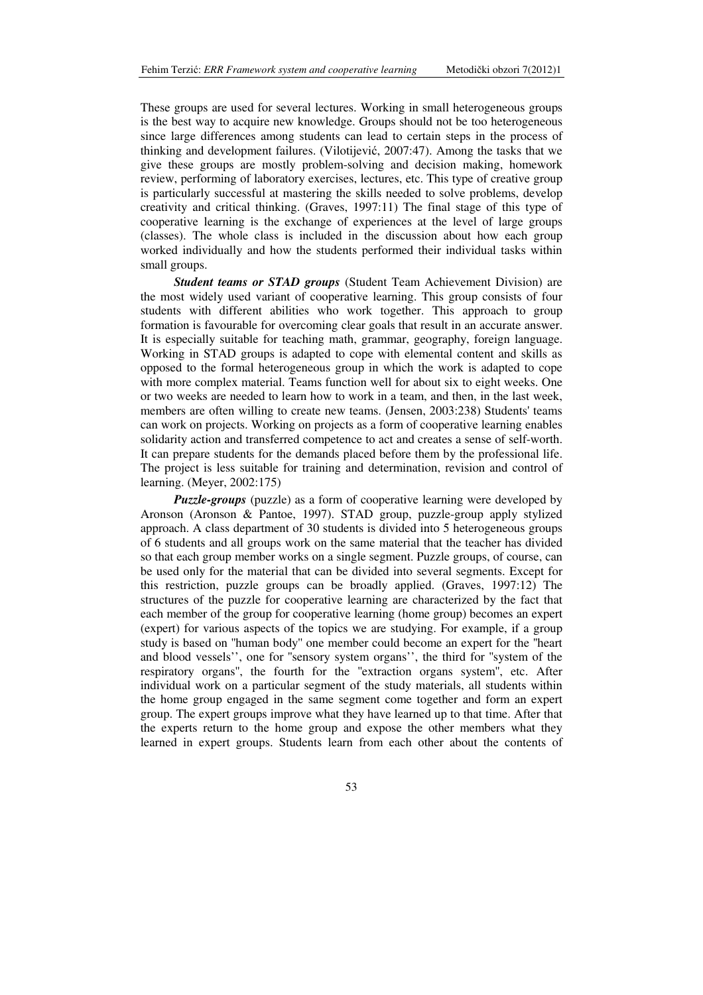These groups are used for several lectures. Working in small heterogeneous groups is the best way to acquire new knowledge. Groups should not be too heterogeneous since large differences among students can lead to certain steps in the process of thinking and development failures. (Vilotijević, 2007:47). Among the tasks that we give these groups are mostly problem-solving and decision making, homework review, performing of laboratory exercises, lectures, etc. This type of creative group is particularly successful at mastering the skills needed to solve problems, develop creativity and critical thinking. (Graves, 1997:11) The final stage of this type of cooperative learning is the exchange of experiences at the level of large groups (classes). The whole class is included in the discussion about how each group worked individually and how the students performed their individual tasks within small groups.

*Student teams or STAD groups* (Student Team Achievement Division) are the most widely used variant of cooperative learning. This group consists of four students with different abilities who work together. This approach to group formation is favourable for overcoming clear goals that result in an accurate answer. It is especially suitable for teaching math, grammar, geography, foreign language. Working in STAD groups is adapted to cope with elemental content and skills as opposed to the formal heterogeneous group in which the work is adapted to cope with more complex material. Teams function well for about six to eight weeks. One or two weeks are needed to learn how to work in a team, and then, in the last week, members are often willing to create new teams. (Jensen, 2003:238) Students' teams can work on projects. Working on projects as a form of cooperative learning enables solidarity action and transferred competence to act and creates a sense of self-worth. It can prepare students for the demands placed before them by the professional life. The project is less suitable for training and determination, revision and control of learning. (Meyer, 2002:175)

*Puzzle-groups* (puzzle) as a form of cooperative learning were developed by Aronson (Aronson & Pantoe, 1997). STAD group, puzzle-group apply stylized approach. A class department of 30 students is divided into 5 heterogeneous groups of 6 students and all groups work on the same material that the teacher has divided so that each group member works on a single segment. Puzzle groups, of course, can be used only for the material that can be divided into several segments. Except for this restriction, puzzle groups can be broadly applied. (Graves, 1997:12) The structures of the puzzle for cooperative learning are characterized by the fact that each member of the group for cooperative learning (home group) becomes an expert (expert) for various aspects of the topics we are studying. For example, if a group study is based on ''human body'' one member could become an expert for the ''heart and blood vessels'', one for ''sensory system organs'', the third for ''system of the respiratory organs'', the fourth for the ''extraction organs system'', etc. After individual work on a particular segment of the study materials, all students within the home group engaged in the same segment come together and form an expert group. The expert groups improve what they have learned up to that time. After that the experts return to the home group and expose the other members what they learned in expert groups. Students learn from each other about the contents of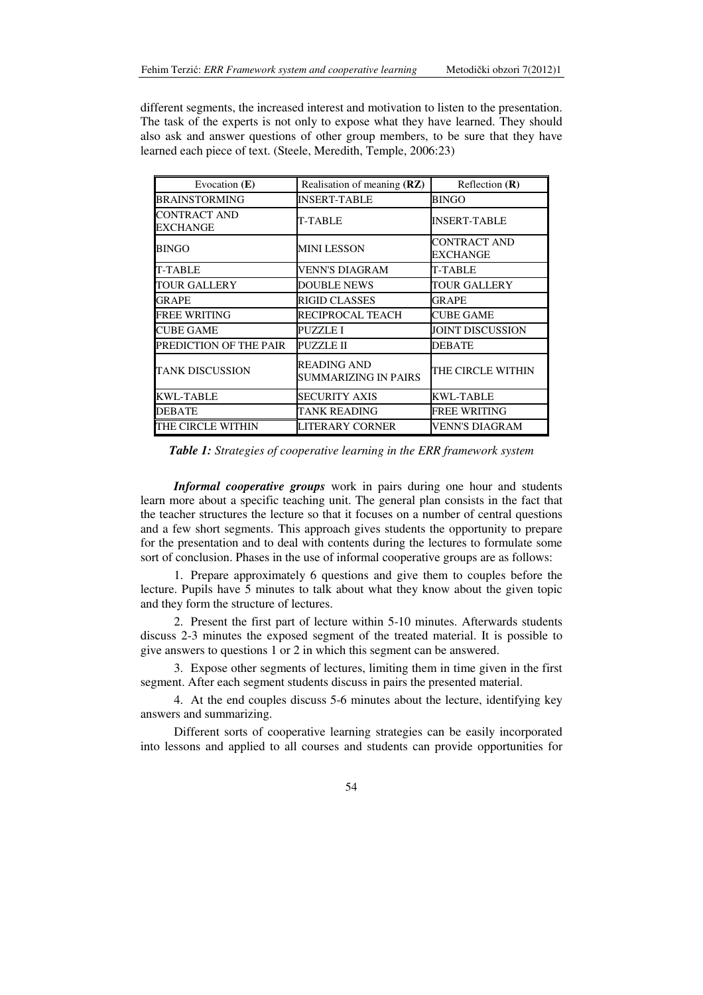different segments, the increased interest and motivation to listen to the presentation. The task of the experts is not only to expose what they have learned. They should also ask and answer questions of other group members, to be sure that they have learned each piece of text. (Steele, Meredith, Temple, 2006:23)

| Evocation $(E)$                 | Realisation of meaning (RZ)                       | Reflection $(R)$         |
|---------------------------------|---------------------------------------------------|--------------------------|
| <b>BRAINSTORMING</b>            | <b>INSERT-TABLE</b>                               | <b>BINGO</b>             |
| <b>CONTRACT AND</b><br>EXCHANGE | <b>T-TABLE</b>                                    | <b>INSERT-TABLE</b>      |
| <b>BINGO</b>                    | MINI LESSON                                       | CONTRACT AND<br>EXCHANGE |
| <b>T-TABLE</b>                  | VENN'S DIAGRAM                                    | T-TABLE                  |
| <b>TOUR GALLERY</b>             | <b>DOUBLE NEWS</b>                                | TOUR GALLERY             |
| <b>GRAPE</b>                    | <b>RIGID CLASSES</b>                              | GRAPE                    |
| <b>FREE WRITING</b>             | RECIPROCAL TEACH                                  | <b>CUBE GAME</b>         |
| <b>CUBE GAME</b>                | PUZZLE I                                          | <b>JOINT DISCUSSION</b>  |
| PREDICTION OF THE PAIR          | PUZZLE II                                         | DEBATE                   |
| <b>TANK DISCUSSION</b>          | <b>READING AND</b><br><b>SUMMARIZING IN PAIRS</b> | THE CIRCLE WITHIN        |
| <b>KWL-TABLE</b>                | <b>SECURITY AXIS</b>                              | <b>KWL-TABLE</b>         |
| <b>DEBATE</b>                   | <b>TANK READING</b>                               | <b>FREE WRITING</b>      |
| THE CIRCLE WITHIN               | LITERARY CORNER                                   | VENN'S DIAGRAM           |

*Table 1: Strategies of cooperative learning in the ERR framework system*

*Informal cooperative groups* work in pairs during one hour and students learn more about a specific teaching unit. The general plan consists in the fact that the teacher structures the lecture so that it focuses on a number of central questions and a few short segments. This approach gives students the opportunity to prepare for the presentation and to deal with contents during the lectures to formulate some sort of conclusion. Phases in the use of informal cooperative groups are as follows:

1. Prepare approximately 6 questions and give them to couples before the lecture. Pupils have 5 minutes to talk about what they know about the given topic and they form the structure of lectures.

2. Present the first part of lecture within 5-10 minutes. Afterwards students discuss 2-3 minutes the exposed segment of the treated material. It is possible to give answers to questions 1 or 2 in which this segment can be answered.

3. Expose other segments of lectures, limiting them in time given in the first segment. After each segment students discuss in pairs the presented material.

4. At the end couples discuss 5-6 minutes about the lecture, identifying key answers and summarizing.

Different sorts of cooperative learning strategies can be easily incorporated into lessons and applied to all courses and students can provide opportunities for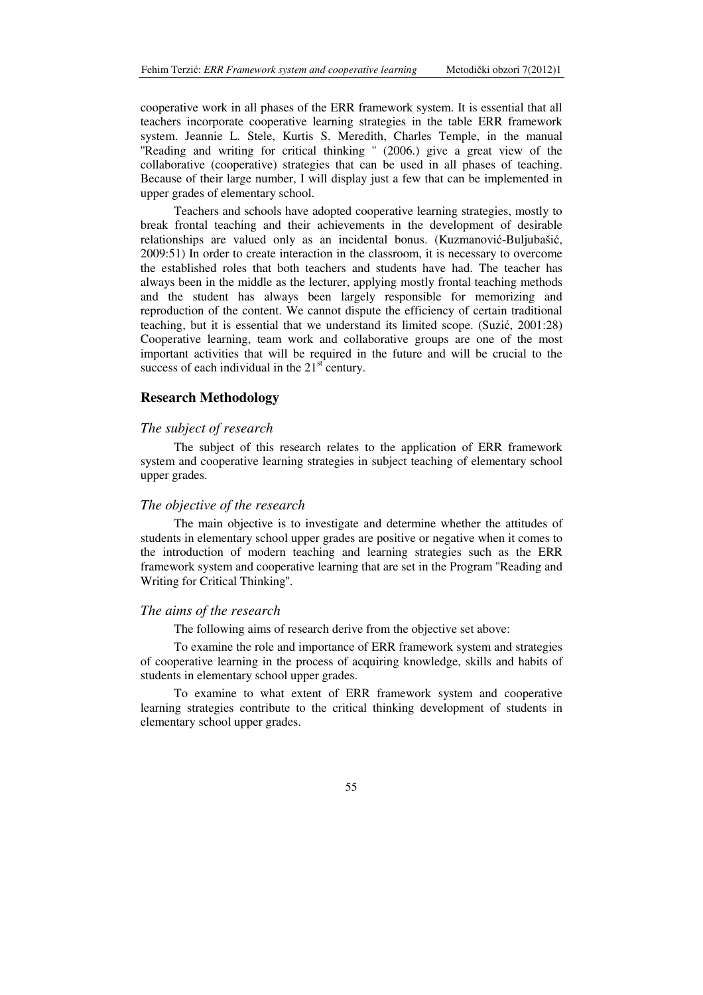cooperative work in all phases of the ERR framework system. It is essential that all teachers incorporate cooperative learning strategies in the table ERR framework system. Jeannie L. Stele, Kurtis S. Meredith, Charles Temple, in the manual "Reading and writing for critical thinking " (2006.) give a great view of the collaborative (cooperative) strategies that can be used in all phases of teaching. Because of their large number, I will display just a few that can be implemented in upper grades of elementary school.

Teachers and schools have adopted cooperative learning strategies, mostly to break frontal teaching and their achievements in the development of desirable relationships are valued only as an incidental bonus. (Kuzmanović-Buljubašić, 2009:51) In order to create interaction in the classroom, it is necessary to overcome the established roles that both teachers and students have had. The teacher has always been in the middle as the lecturer, applying mostly frontal teaching methods and the student has always been largely responsible for memorizing and reproduction of the content. We cannot dispute the efficiency of certain traditional teaching, but it is essential that we understand its limited scope. (Suzić, 2001:28) Cooperative learning, team work and collaborative groups are one of the most important activities that will be required in the future and will be crucial to the success of each individual in the  $21<sup>st</sup>$  century.

#### **Research Methodology**

#### *The subject of research*

The subject of this research relates to the application of ERR framework system and cooperative learning strategies in subject teaching of elementary school upper grades.

#### *The objective of the research*

The main objective is to investigate and determine whether the attitudes of students in elementary school upper grades are positive or negative when it comes to the introduction of modern teaching and learning strategies such as the ERR framework system and cooperative learning that are set in the Program ''Reading and Writing for Critical Thinking''.

#### *The aims of the research*

The following aims of research derive from the objective set above:

To examine the role and importance of ERR framework system and strategies of cooperative learning in the process of acquiring knowledge, skills and habits of students in elementary school upper grades.

To examine to what extent of ERR framework system and cooperative learning strategies contribute to the critical thinking development of students in elementary school upper grades.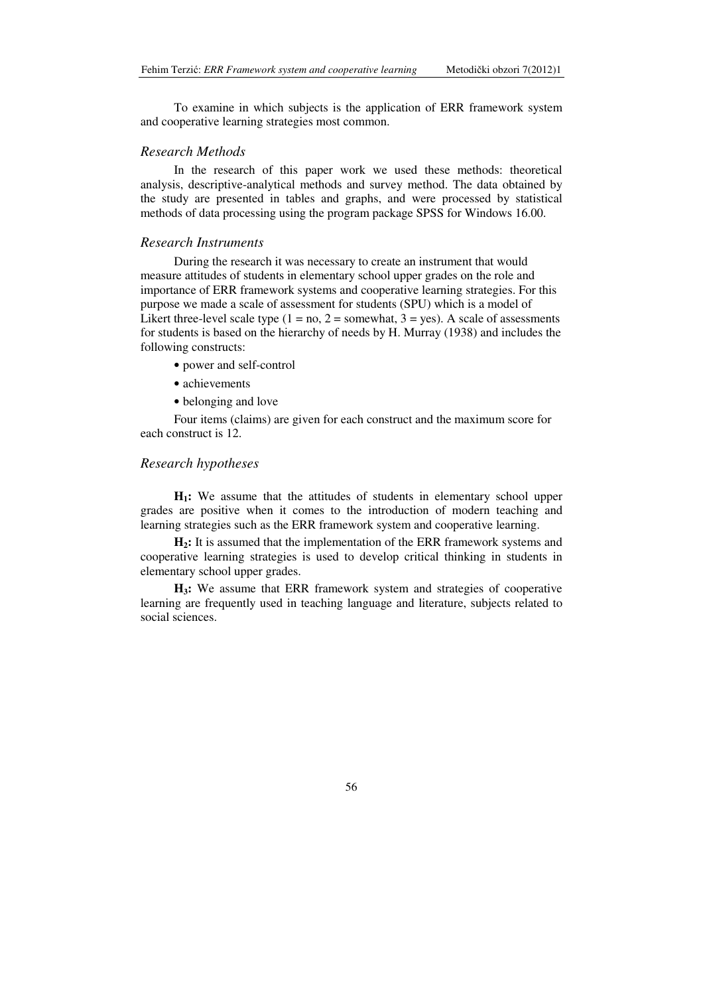To examine in which subjects is the application of ERR framework system and cooperative learning strategies most common.

### *Research Methods*

In the research of this paper work we used these methods: theoretical analysis, descriptive-analytical methods and survey method. The data obtained by the study are presented in tables and graphs, and were processed by statistical methods of data processing using the program package SPSS for Windows 16.00.

#### *Research Instruments*

During the research it was necessary to create an instrument that would measure attitudes of students in elementary school upper grades on the role and importance of ERR framework systems and cooperative learning strategies. For this purpose we made a scale of assessment for students (SPU) which is a model of Likert three-level scale type  $(1 = no, 2 = some what, 3 = yes)$ . A scale of assessments for students is based on the hierarchy of needs by H. Murray (1938) and includes the following constructs:

- power and self-control
- achievements
- belonging and love

Four items (claims) are given for each construct and the maximum score for each construct is 12.

#### *Research hypotheses*

**H1:** We assume that the attitudes of students in elementary school upper grades are positive when it comes to the introduction of modern teaching and learning strategies such as the ERR framework system and cooperative learning.

**H2:** It is assumed that the implementation of the ERR framework systems and cooperative learning strategies is used to develop critical thinking in students in elementary school upper grades.

**H3:** We assume that ERR framework system and strategies of cooperative learning are frequently used in teaching language and literature, subjects related to social sciences.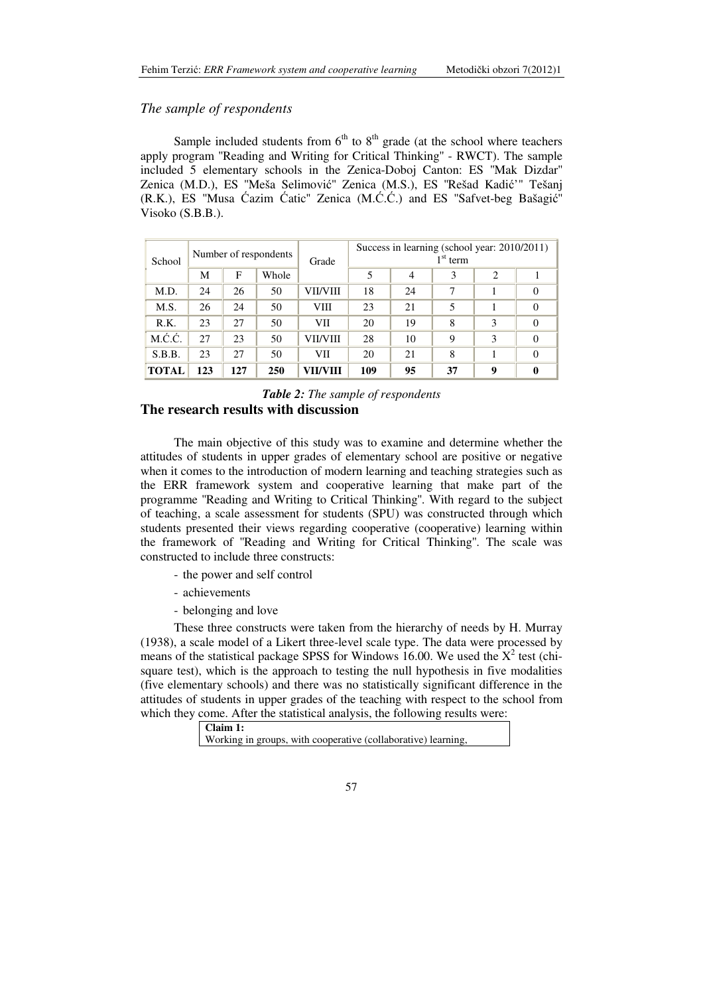### *The sample of respondents*

Sample included students from  $6<sup>th</sup>$  to  $8<sup>th</sup>$  grade (at the school where teachers apply program ''Reading and Writing for Critical Thinking'' - RWCT). The sample included 5 elementary schools in the Zenica-Doboj Canton: ES ''Mak Dizdar'' Zenica (M.D.), ES ''Meša Selimović'' Zenica (M.S.), ES ''Rešad Kadić'" Tešanj (R.K.), ES ''Musa Ćazim Ćatic'' Zenica (M.Ć.Ć.) and ES ''Safvet-beg Bašagić'' Visoko (S.B.B.).

| School       | Number of respondents |     |       |          | Grade |    | Success in learning (school year: 2010/2011)<br>$1st$ term |   |  |  |
|--------------|-----------------------|-----|-------|----------|-------|----|------------------------------------------------------------|---|--|--|
|              | M                     | F   | Whole |          | 5     | 4  | 3                                                          | 2 |  |  |
| M.D.         | 24                    | 26  | 50    | VII/VIII | 18    | 24 | 7                                                          |   |  |  |
| M.S.         | 26                    | 24  | 50    | VIII     | 23    | 21 | 5                                                          |   |  |  |
| R.K.         | 23                    | 27  | 50    | VII      | 20    | 19 | 8                                                          | 3 |  |  |
| M.Ć.Ć.       | 27                    | 23  | 50    | VII/VIII | 28    | 10 | 9                                                          | 3 |  |  |
| S.B.B.       | 23                    | 27  | 50    | VII      | 20    | 21 | 8                                                          |   |  |  |
| <b>TOTAL</b> | 123                   | 127 | 250   | VII/VIII | 109   | 95 | 37                                                         | 9 |  |  |

*Table 2: The sample of respondents*  **The research results with discussion** 

The main objective of this study was to examine and determine whether the attitudes of students in upper grades of elementary school are positive or negative when it comes to the introduction of modern learning and teaching strategies such as the ERR framework system and cooperative learning that make part of the programme ''Reading and Writing to Critical Thinking''. With regard to the subject of teaching, a scale assessment for students (SPU) was constructed through which students presented their views regarding cooperative (cooperative) learning within the framework of ''Reading and Writing for Critical Thinking''. The scale was constructed to include three constructs:

- the power and self control
- achievements
- belonging and love

These three constructs were taken from the hierarchy of needs by H. Murray (1938), a scale model of a Likert three-level scale type. The data were processed by means of the statistical package SPSS for Windows 16.00. We used the  $X^2$  test (chisquare test), which is the approach to testing the null hypothesis in five modalities (five elementary schools) and there was no statistically significant difference in the attitudes of students in upper grades of the teaching with respect to the school from which they come. After the statistical analysis, the following results were:

> **Claim 1:** Working in groups, with cooperative (collaborative) learning,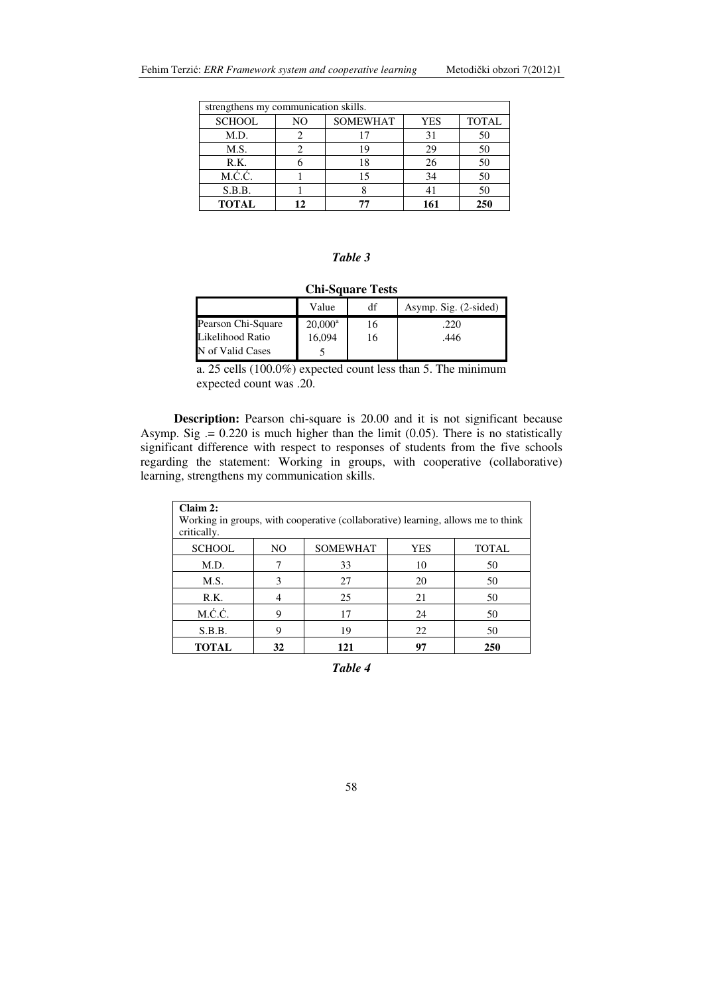| strengthens my communication skills. |    |                                               |     |     |  |  |  |
|--------------------------------------|----|-----------------------------------------------|-----|-----|--|--|--|
| <b>SCHOOL</b>                        | NO | <b>SOMEWHAT</b><br><b>TOTAL</b><br><b>YES</b> |     |     |  |  |  |
| M.D.                                 |    | 17                                            | 31  | 50  |  |  |  |
| M.S.                                 |    | 19                                            | 29  | 50  |  |  |  |
| R.K.                                 |    | 18                                            | 26  | 50  |  |  |  |
| M.Ć.Ć.                               |    | 15                                            | 34  | 50  |  |  |  |
| S.B.B.                               |    |                                               |     | 50  |  |  |  |
| <b>TOTAL</b>                         | 12 | 77                                            | 161 | 250 |  |  |  |

### *Table 3*

| <b>Chi-Square Tests</b> |            |    |                       |  |  |
|-------------------------|------------|----|-----------------------|--|--|
|                         | Value      | df | Asymp. Sig. (2-sided) |  |  |
| Pearson Chi-Square      | $20,000^a$ | 16 | .220                  |  |  |
| Likelihood Ratio        | 16,094     | 16 | .446                  |  |  |
| N of Valid Cases        |            |    |                       |  |  |

a. 25 cells (100.0%) expected count less than 5. The minimum expected count was .20.

**Description:** Pearson chi-square is 20.00 and it is not significant because Asymp. Sig  $= 0.220$  is much higher than the limit (0.05). There is no statistically significant difference with respect to responses of students from the five schools regarding the statement: Working in groups, with cooperative (collaborative) learning, strengthens my communication skills.

| Claim 2:<br>Working in groups, with cooperative (collaborative) learning, allows me to think<br>critically. |    |                 |            |              |  |
|-------------------------------------------------------------------------------------------------------------|----|-----------------|------------|--------------|--|
| <b>SCHOOL</b>                                                                                               | NO | <b>SOMEWHAT</b> | <b>YES</b> | <b>TOTAL</b> |  |
| M.D.                                                                                                        |    | 33              | 10         | 50           |  |
| M.S.                                                                                                        | 3  | 27              | 20         | 50           |  |
| R.K.                                                                                                        | 4  | 25              | 21         | 50           |  |
| M.Ć.Ć.                                                                                                      | 9  | 17              | 24         | 50           |  |
| S.B.B.                                                                                                      | 9  | 19              | 22         | 50           |  |
| <b>TOTAL</b>                                                                                                | 32 | 121             | 97         | 250          |  |

*Table 4*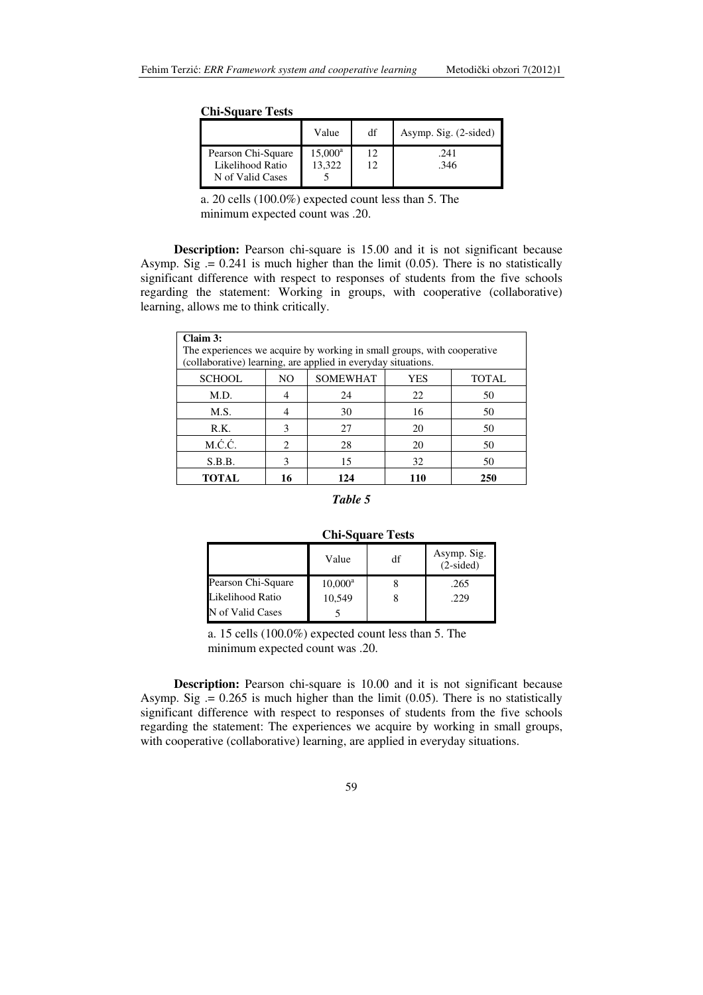| <b>Chi-Square Tests</b> |  |
|-------------------------|--|
|-------------------------|--|

|                    | Value            | df | Asymp. Sig. (2-sided) |
|--------------------|------------------|----|-----------------------|
| Pearson Chi-Square | $15,000^{\rm a}$ |    | .241                  |
| Likelihood Ratio   | 13.322           |    | .346                  |
| N of Valid Cases   |                  |    |                       |

a. 20 cells (100.0%) expected count less than 5. The minimum expected count was .20.

**Description:** Pearson chi-square is 15.00 and it is not significant because Asymp. Sig  $= 0.241$  is much higher than the limit (0.05). There is no statistically significant difference with respect to responses of students from the five schools regarding the statement: Working in groups, with cooperative (collaborative) learning, allows me to think critically.

| Claim 3:<br>The experiences we acquire by working in small groups, with cooperative<br>(collaborative) learning, are applied in everyday situations. |                                               |     |     |     |  |  |  |
|------------------------------------------------------------------------------------------------------------------------------------------------------|-----------------------------------------------|-----|-----|-----|--|--|--|
| <b>SCHOOL</b>                                                                                                                                        | <b>SOMEWHAT</b><br><b>TOTAL</b><br>NO.<br>YES |     |     |     |  |  |  |
| M.D.                                                                                                                                                 |                                               | 24  | 22  | 50  |  |  |  |
| M.S.                                                                                                                                                 |                                               | 30  | 16  | 50  |  |  |  |
| R.K.                                                                                                                                                 | 3                                             | 27  | 20  | 50  |  |  |  |
| M.Ć.Ć.                                                                                                                                               | $\mathfrak{D}$                                | 28  | 20  | 50  |  |  |  |
| S.B.B.                                                                                                                                               | 3                                             | 15  | 32  | 50  |  |  |  |
| <b>TOTAL</b>                                                                                                                                         | 16                                            | 124 | 110 | 250 |  |  |  |

#### *Table 5*

### **Chi-Square Tests**

|                    | Value      | df | Asymp. Sig.<br>$(2-sided)$ |
|--------------------|------------|----|----------------------------|
| Pearson Chi-Square | $10,000^a$ |    | .265                       |
| Likelihood Ratio   | 10,549     |    | .229                       |
| N of Valid Cases   |            |    |                            |

a. 15 cells (100.0%) expected count less than 5. The minimum expected count was .20.

**Description:** Pearson chi-square is 10.00 and it is not significant because Asymp. Sig  $= 0.265$  is much higher than the limit (0.05). There is no statistically significant difference with respect to responses of students from the five schools regarding the statement: The experiences we acquire by working in small groups, with cooperative (collaborative) learning, are applied in everyday situations.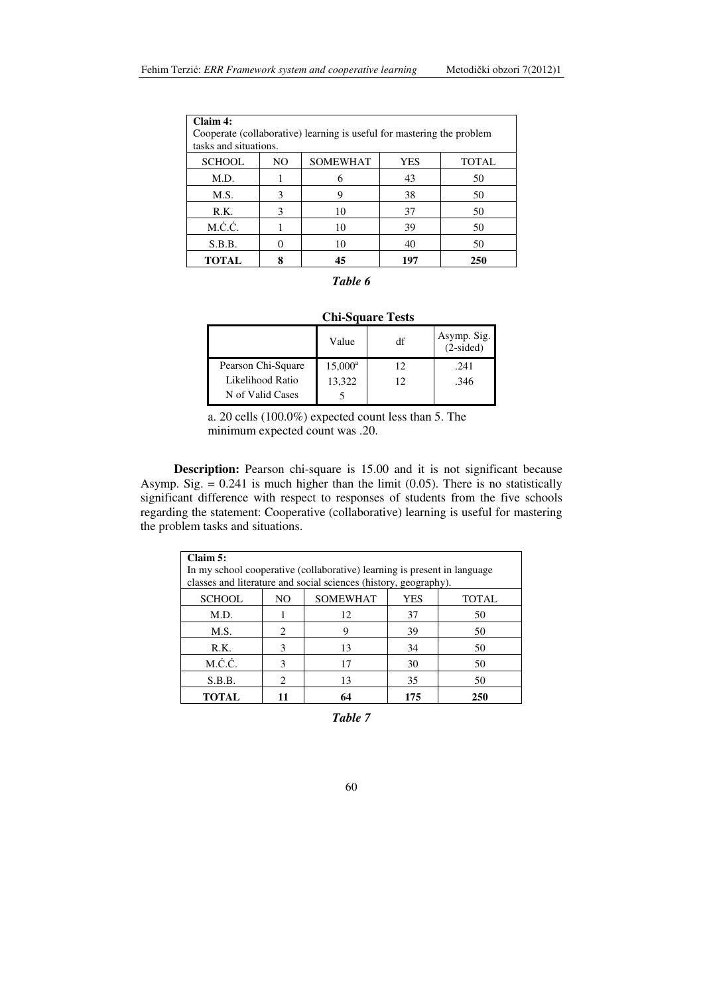| Claim 4:      | Cooperate (collaborative) learning is useful for mastering the problem<br>tasks and situations. |                 |            |              |  |  |  |
|---------------|-------------------------------------------------------------------------------------------------|-----------------|------------|--------------|--|--|--|
| <b>SCHOOL</b> | NO.                                                                                             | <b>SOMEWHAT</b> | <b>YES</b> | <b>TOTAL</b> |  |  |  |
| M.D.          |                                                                                                 |                 | 43         | 50           |  |  |  |
| M.S.          | 3                                                                                               |                 | 38         | 50           |  |  |  |
| R.K.          | 3                                                                                               | 10              | 37         | 50           |  |  |  |
| M.Ć.Ć.        |                                                                                                 | 10              | 39         | 50           |  |  |  |
| S.B.B.        |                                                                                                 | 10              | 40         | 50           |  |  |  |
| <b>TOTAL</b>  |                                                                                                 | 45              | 197        | 250          |  |  |  |

# *Table 6*

| <b>Chi-Square Tests</b> |  |  |
|-------------------------|--|--|
|-------------------------|--|--|

|                    | Value      | df | Asymp. Sig. $(2\textrm{-sided})$ |
|--------------------|------------|----|----------------------------------|
| Pearson Chi-Square | $15,000^a$ | 12 | .241                             |
| Likelihood Ratio   | 13,322     | 12 | .346                             |
| N of Valid Cases   |            |    |                                  |

a. 20 cells (100.0%) expected count less than 5. The minimum expected count was .20.

**Description:** Pearson chi-square is 15.00 and it is not significant because Asymp. Sig.  $= 0.241$  is much higher than the limit (0.05). There is no statistically significant difference with respect to responses of students from the five schools regarding the statement: Cooperative (collaborative) learning is useful for mastering the problem tasks and situations.

| Claim 5:      |                                              |                                                                          |     |     |  |
|---------------|----------------------------------------------|--------------------------------------------------------------------------|-----|-----|--|
|               |                                              | In my school cooperative (collaborative) learning is present in language |     |     |  |
|               |                                              | classes and literature and social sciences (history, geography).         |     |     |  |
| <b>SCHOOL</b> | <b>SOMEWHAT</b><br>YES<br>NO<br><b>TOTAL</b> |                                                                          |     |     |  |
| M.D.          |                                              | 12                                                                       | 37  | 50  |  |
| M.S.          | $\mathfrak{D}$                               | 9                                                                        | 39  | 50  |  |
| R.K.          | 3                                            | 13                                                                       | 34  | 50  |  |
| M.Ć.Ć.        | 3                                            | 17                                                                       | 30  | 50  |  |
| S.B.B.        | 2                                            | 13                                                                       | 35  | 50  |  |
| <b>TOTAL</b>  |                                              | 64                                                                       | 175 | 250 |  |

*Table 7*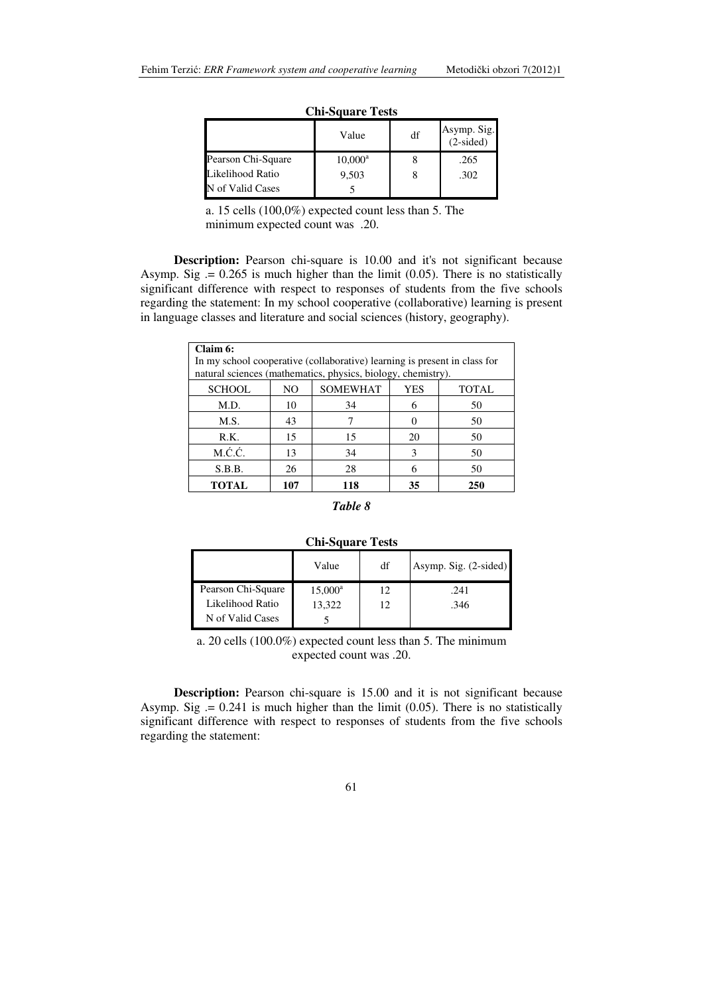|                    | Value      | df | Asymp. Sig.<br>(2-sided) |
|--------------------|------------|----|--------------------------|
| Pearson Chi-Square | $10,000^a$ |    | .265                     |
| Likelihood Ratio   | 9,503      |    | .302                     |
| N of Valid Cases   |            |    |                          |

**Chi-Square Tests**

a. 15 cells (100,0%) expected count less than 5. The minimum expected count was .20.

**Description:** Pearson chi-square is 10.00 and it's not significant because Asymp. Sig  $= 0.265$  is much higher than the limit (0.05). There is no statistically significant difference with respect to responses of students from the five schools regarding the statement: In my school cooperative (collaborative) learning is present in language classes and literature and social sciences (history, geography).

| Claim 6:      |     |                                                                           |     |              |
|---------------|-----|---------------------------------------------------------------------------|-----|--------------|
|               |     | In my school cooperative (collaborative) learning is present in class for |     |              |
|               |     | natural sciences (mathematics, physics, biology, chemistry).              |     |              |
| <b>SCHOOL</b> | NO. | <b>SOMEWHAT</b>                                                           | YES | <b>TOTAL</b> |
| M.D.          | 10  | 34                                                                        | 6   | 50           |
| M.S.          | 43  |                                                                           |     | 50           |
| R.K.          | 15  | 15                                                                        | 20  | 50           |
| M.Ć.Ć.        | 13  | 34                                                                        | 3   | 50           |
| S.B.B.        | 26  | 28                                                                        | 6   | 50           |
| <b>TOTAL</b>  | 107 | 118                                                                       | 35  | 250          |

# *Table 8*

#### **Chi-Square Tests**

|                    | Value      | df | Asymp. Sig. (2-sided) |
|--------------------|------------|----|-----------------------|
| Pearson Chi-Square | $15,000^a$ | 12 | .241                  |
| Likelihood Ratio   | 13,322     | 12 | .346                  |
| N of Valid Cases   |            |    |                       |

a. 20 cells (100.0%) expected count less than 5. The minimum expected count was .20.

**Description:** Pearson chi-square is 15.00 and it is not significant because Asymp. Sig  $= 0.241$  is much higher than the limit (0.05). There is no statistically significant difference with respect to responses of students from the five schools regarding the statement: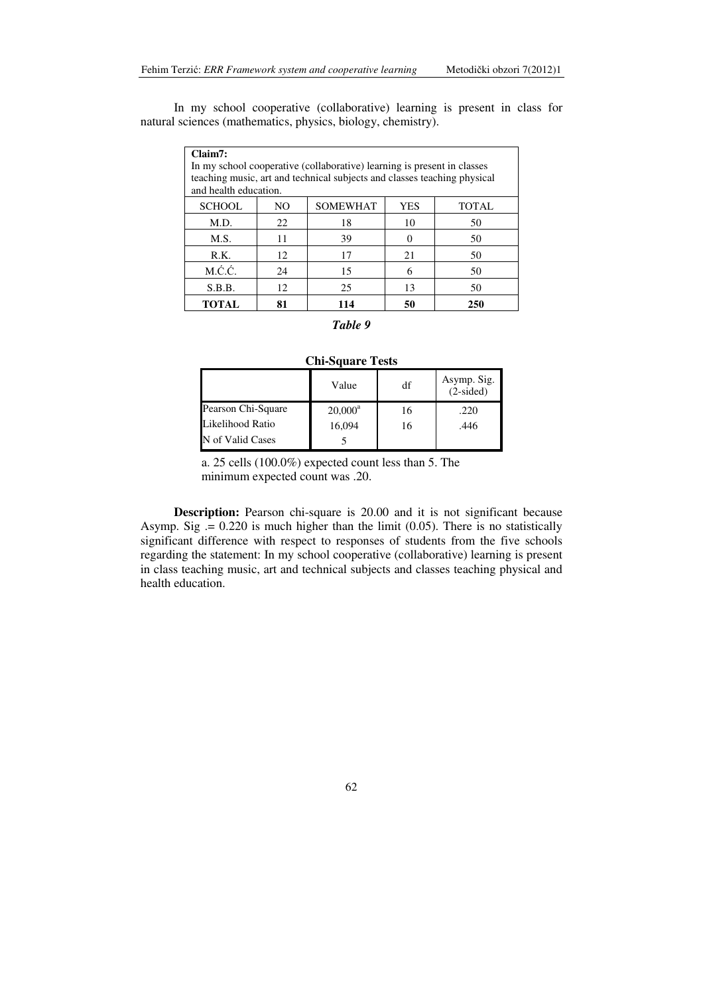| Claim7:                        |                                                                                                   |                                                                         |    |     |  |  |
|--------------------------------|---------------------------------------------------------------------------------------------------|-------------------------------------------------------------------------|----|-----|--|--|
|                                |                                                                                                   | In my school cooperative (collaborative) learning is present in classes |    |     |  |  |
|                                | teaching music, art and technical subjects and classes teaching physical<br>and health education. |                                                                         |    |     |  |  |
| <b>SCHOOL</b>                  | <b>SOMEWHAT</b><br><b>YES</b><br>NO<br><b>TOTAL</b>                                               |                                                                         |    |     |  |  |
| M.D.                           | 22                                                                                                | 18                                                                      | 10 | 50  |  |  |
| M.S.                           | 11                                                                                                | 39                                                                      | 0  | 50  |  |  |
| R.K.                           | 12<br>21<br>17<br>50                                                                              |                                                                         |    |     |  |  |
| M.Ć.Ć.                         | 24<br>15<br>50<br>6                                                                               |                                                                         |    |     |  |  |
| 25<br>S.B.B.<br>12<br>13<br>50 |                                                                                                   |                                                                         |    |     |  |  |
| TOTAL                          | 81                                                                                                | 114                                                                     | 50 | 250 |  |  |

In my school cooperative (collaborative) learning is present in class for natural sciences (mathematics, physics, biology, chemistry).

#### *Table 9*

### **Chi-Square Tests**

|                    | Value      | df | Asymp. Sig.<br>$(2-sided)$ |
|--------------------|------------|----|----------------------------|
| Pearson Chi-Square | $20,000^a$ | 16 | .220                       |
| Likelihood Ratio   | 16.094     | 16 | .446                       |
| N of Valid Cases   |            |    |                            |

a. 25 cells (100.0%) expected count less than 5. The minimum expected count was .20.

**Description:** Pearson chi-square is 20.00 and it is not significant because Asymp. Sig  $= 0.220$  is much higher than the limit (0.05). There is no statistically significant difference with respect to responses of students from the five schools regarding the statement: In my school cooperative (collaborative) learning is present in class teaching music, art and technical subjects and classes teaching physical and health education.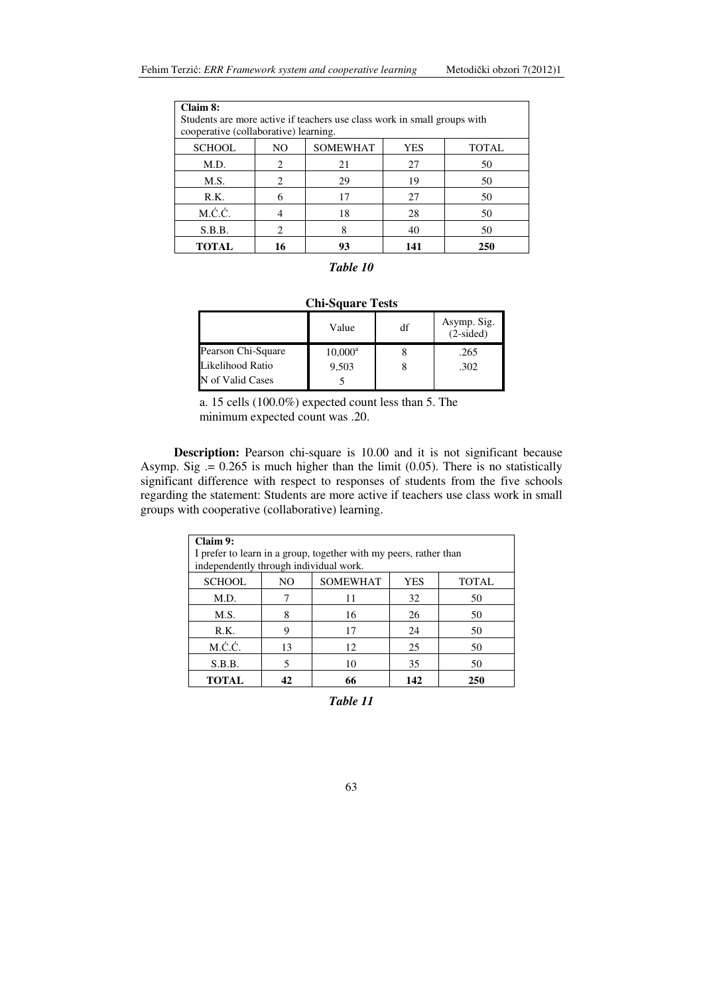| Claim 8:                              |                                               |                                                                          |     |     |  |  |
|---------------------------------------|-----------------------------------------------|--------------------------------------------------------------------------|-----|-----|--|--|
|                                       |                                               | Students are more active if teachers use class work in small groups with |     |     |  |  |
| cooperative (collaborative) learning. |                                               |                                                                          |     |     |  |  |
| <b>SCHOOL</b>                         | <b>SOMEWHAT</b><br>YES<br><b>TOTAL</b><br>NO. |                                                                          |     |     |  |  |
| M.D.                                  | 2                                             | 21                                                                       | 27  | 50  |  |  |
| M.S.                                  | $\mathfrak{D}$                                | 29                                                                       | 19  | 50  |  |  |
| R.K.                                  |                                               | 17                                                                       | 27  | 50  |  |  |
| M.Ć.Ć.                                |                                               | 18                                                                       | 28  | 50  |  |  |
| S.B.B.                                | $\mathfrak{D}$                                |                                                                          | 40  | 50  |  |  |
| <b>TOTAL</b>                          | 16                                            | 93                                                                       | 141 | 250 |  |  |

| Table 10 |  |
|----------|--|
|----------|--|

| <b>Chi-Square Tests</b>                   |            |  |      |  |  |
|-------------------------------------------|------------|--|------|--|--|
| Asymp. Sig.<br>df<br>Value<br>$(2-sided)$ |            |  |      |  |  |
| Pearson Chi-Square                        | $10,000^a$ |  | .265 |  |  |
| Likelihood Ratio                          | 9,503      |  | .302 |  |  |
| N of Valid Cases                          |            |  |      |  |  |

a. 15 cells (100.0%) expected count less than 5. The minimum expected count was .20.

**Description:** Pearson chi-square is 10.00 and it is not significant because Asymp. Sig  $= 0.265$  is much higher than the limit (0.05). There is no statistically significant difference with respect to responses of students from the five schools regarding the statement: Students are more active if teachers use class work in small groups with cooperative (collaborative) learning.

| Claim 9:<br>I prefer to learn in a group, together with my peers, rather than<br>independently through individual work. |     |                 |            |              |  |
|-------------------------------------------------------------------------------------------------------------------------|-----|-----------------|------------|--------------|--|
| <b>SCHOOL</b>                                                                                                           | NO. | <b>SOMEWHAT</b> | <b>YES</b> | <b>TOTAL</b> |  |
| M.D.                                                                                                                    |     | 11              | 32         | 50           |  |
| M.S.                                                                                                                    | 8   | 16              | 26         | 50           |  |
| R.K.                                                                                                                    | 9   | 17              | 24         | 50           |  |
| M.Ć.Ć.                                                                                                                  | 13  | 12              | 25         | 50           |  |
| S.B.B.                                                                                                                  | 5   | 10              | 35         | 50           |  |
| <b>TOTAL</b>                                                                                                            | 42  | 66              | 142        | 250          |  |

*Table 11*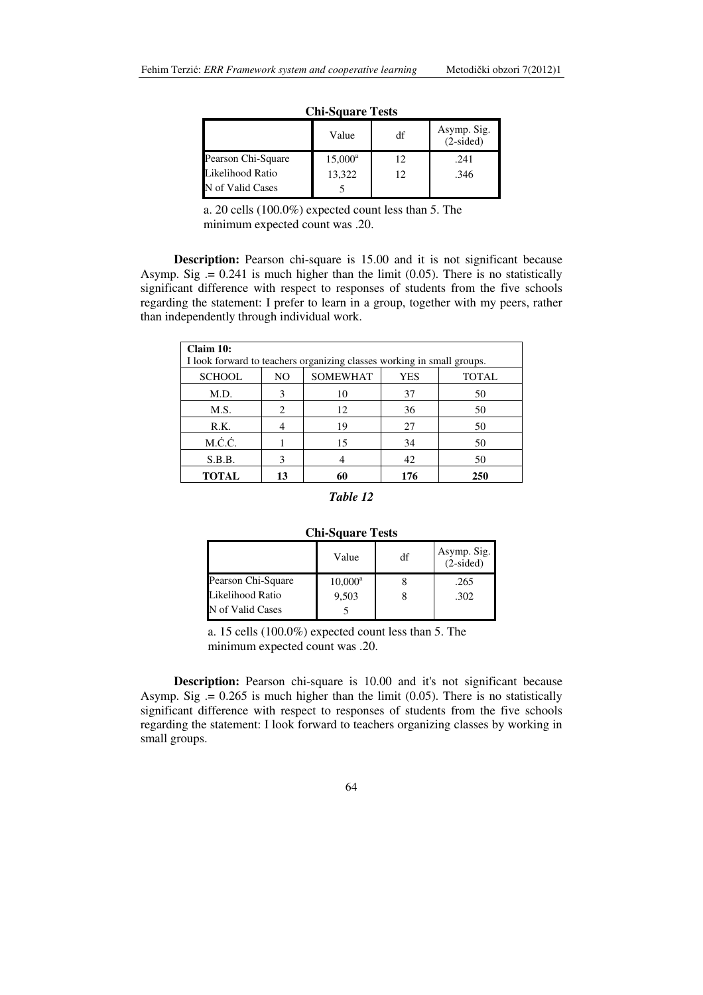| vill vuudiv 1990   |                  |    |                            |  |
|--------------------|------------------|----|----------------------------|--|
|                    | Value            | df | Asymp. Sig.<br>$(2-sided)$ |  |
| Pearson Chi-Square | $15,000^{\rm a}$ | 12 | .241                       |  |
| Likelihood Ratio   | 13.322           | 12 | .346                       |  |
| N of Valid Cases   |                  |    |                            |  |

**Chi-Square Tests**

a. 20 cells (100.0%) expected count less than 5. The minimum expected count was .20.

**Description:** Pearson chi-square is 15.00 and it is not significant because Asymp. Sig  $= 0.241$  is much higher than the limit (0.05). There is no statistically significant difference with respect to responses of students from the five schools regarding the statement: I prefer to learn in a group, together with my peers, rather than independently through individual work.

| Claim 10:<br>I look forward to teachers organizing classes working in small groups. |     |                 |     |              |  |
|-------------------------------------------------------------------------------------|-----|-----------------|-----|--------------|--|
| <b>SCHOOL</b>                                                                       | NO. | <b>SOMEWHAT</b> | YES | <b>TOTAL</b> |  |
| M.D.                                                                                | 3   | 10              | 37  | 50           |  |
| M.S.                                                                                | 2   | 12              | 36  | 50           |  |
| R.K.                                                                                |     | 19              | 27  | 50           |  |
| M.Ć.Ć.                                                                              |     | 15              | 34  | 50           |  |
| S.B.B.                                                                              | 3   |                 | 42  | 50           |  |
| <b>TOTAL</b>                                                                        | 13  | 60              | 176 | 250          |  |

### *Table 12*

#### **Chi-Square Tests**

|                    | Value      | df | Asymp. Sig.<br>$(2-sided)$ |
|--------------------|------------|----|----------------------------|
| Pearson Chi-Square | $10,000^a$ |    | .265                       |
| Likelihood Ratio   | 9,503      |    | .302                       |
| N of Valid Cases   |            |    |                            |

a. 15 cells (100.0%) expected count less than 5. The minimum expected count was .20.

**Description:** Pearson chi-square is 10.00 and it's not significant because Asymp. Sig  $= 0.265$  is much higher than the limit (0.05). There is no statistically significant difference with respect to responses of students from the five schools regarding the statement: I look forward to teachers organizing classes by working in small groups.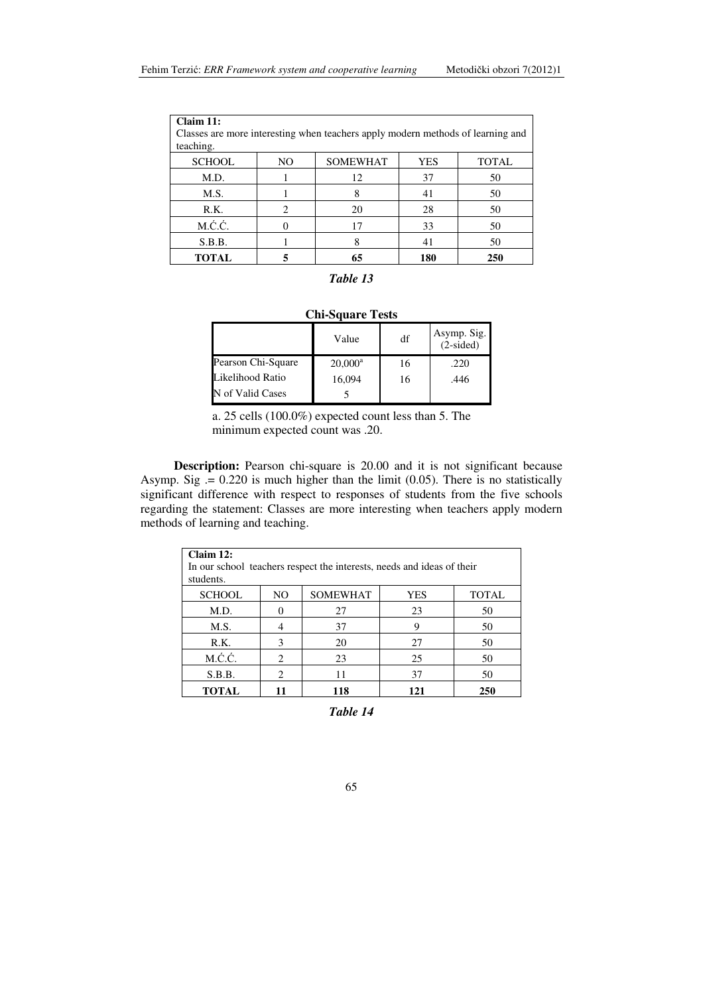| Claim 11:<br>teaching. |                               | Classes are more interesting when teachers apply modern methods of learning and |     |              |
|------------------------|-------------------------------|---------------------------------------------------------------------------------|-----|--------------|
| <b>SCHOOL</b>          | NO                            | <b>SOMEWHAT</b>                                                                 | YES | <b>TOTAL</b> |
| M.D.                   |                               | 12                                                                              | 37  | 50           |
| M.S.                   |                               | 8                                                                               | 41  | 50           |
| R.K.                   | $\mathfrak{D}_{\mathfrak{p}}$ | 20                                                                              | 28  | 50           |
| M.Ć.Ć.                 |                               | 17                                                                              | 33  | 50           |
| S.B.B.                 |                               | 8                                                                               | 41  | 50           |
| TOTAL                  |                               | 65                                                                              | 180 | 250          |

# *Table 13*

|                    | Value      | df | Asymp. Sig.<br>(2-sided) |
|--------------------|------------|----|--------------------------|
| Pearson Chi-Square | $20,000^a$ | 16 | .220                     |
| Likelihood Ratio   | 16,094     | 16 | .446                     |
| N of Valid Cases   |            |    |                          |

a. 25 cells (100.0%) expected count less than 5. The minimum expected count was .20.

**Description:** Pearson chi-square is 20.00 and it is not significant because Asymp. Sig  $= 0.220$  is much higher than the limit (0.05). There is no statistically significant difference with respect to responses of students from the five schools regarding the statement: Classes are more interesting when teachers apply modern methods of learning and teaching.

| Claim 12:<br>In our school teachers respect the interests, needs and ideas of their<br>students. |                             |                 |            |              |
|--------------------------------------------------------------------------------------------------|-----------------------------|-----------------|------------|--------------|
| <b>SCHOOL</b>                                                                                    | N <sub>O</sub>              | <b>SOMEWHAT</b> | <b>YES</b> | <b>TOTAL</b> |
| M.D.                                                                                             |                             | 27              | 23         | 50           |
| M.S.                                                                                             |                             | 37              | 9          | 50           |
| R.K.                                                                                             | 3                           | 20              | 27         | 50           |
| M.Ć.Ć.                                                                                           | 2                           | 23              | 25         | 50           |
| S.B.B.                                                                                           | $\mathcal{D}_{\mathcal{L}}$ | 11              | 37         | 50           |
| <b>TOTAL</b>                                                                                     | 11                          | 118             | 121        | 250          |

*Table 14*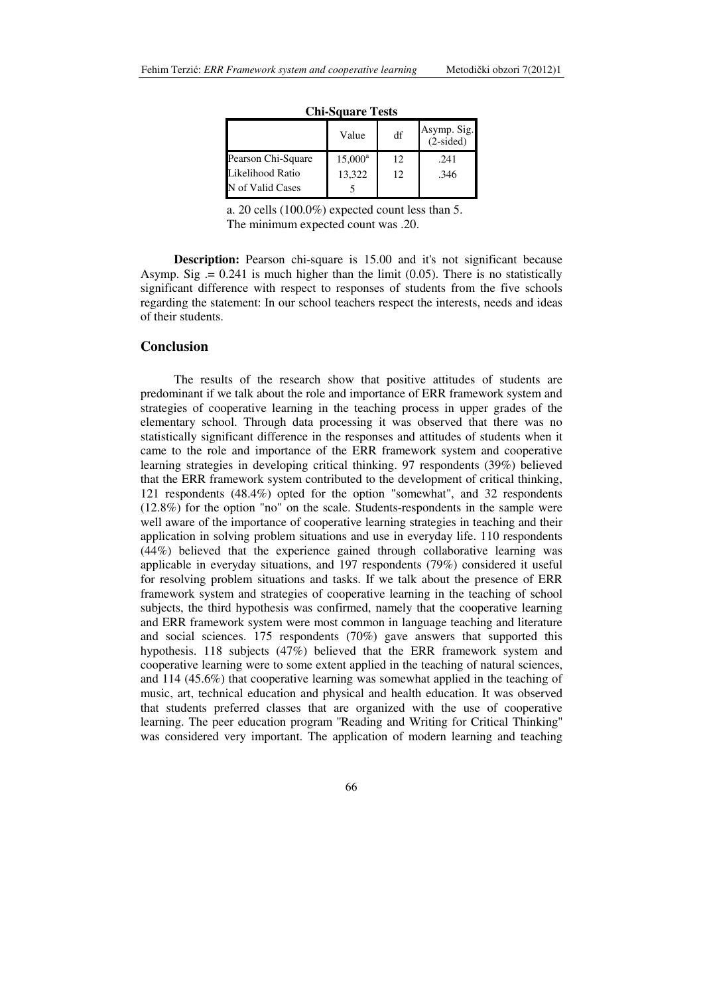| vill vuudiv 1 vuu  |            |    |                            |
|--------------------|------------|----|----------------------------|
|                    | Value      | df | Asymp. Sig.<br>$(2-sided)$ |
| Pearson Chi-Square | $15,000^a$ | 12 | .241                       |
| Likelihood Ratio   | 13,322     | 12 | .346                       |
| N of Valid Cases   |            |    |                            |

**Chi-Square Tests**

a. 20 cells (100.0%) expected count less than 5. The minimum expected count was .20.

**Description:** Pearson chi-square is 15.00 and it's not significant because Asymp. Sig  $= 0.241$  is much higher than the limit  $(0.05)$ . There is no statistically significant difference with respect to responses of students from the five schools regarding the statement: In our school teachers respect the interests, needs and ideas of their students.

#### **Conclusion**

The results of the research show that positive attitudes of students are predominant if we talk about the role and importance of ERR framework system and strategies of cooperative learning in the teaching process in upper grades of the elementary school. Through data processing it was observed that there was no statistically significant difference in the responses and attitudes of students when it came to the role and importance of the ERR framework system and cooperative learning strategies in developing critical thinking. 97 respondents (39%) believed that the ERR framework system contributed to the development of critical thinking, 121 respondents (48.4%) opted for the option "somewhat", and 32 respondents (12.8%) for the option "no" on the scale. Students-respondents in the sample were well aware of the importance of cooperative learning strategies in teaching and their application in solving problem situations and use in everyday life. 110 respondents (44%) believed that the experience gained through collaborative learning was applicable in everyday situations, and 197 respondents (79%) considered it useful for resolving problem situations and tasks. If we talk about the presence of ERR framework system and strategies of cooperative learning in the teaching of school subjects, the third hypothesis was confirmed, namely that the cooperative learning and ERR framework system were most common in language teaching and literature and social sciences. 175 respondents  $(70%)$  gave answers that supported this hypothesis. 118 subjects (47%) believed that the ERR framework system and cooperative learning were to some extent applied in the teaching of natural sciences, and 114 (45.6%) that cooperative learning was somewhat applied in the teaching of music, art, technical education and physical and health education. It was observed that students preferred classes that are organized with the use of cooperative learning. The peer education program ''Reading and Writing for Critical Thinking'' was considered very important. The application of modern learning and teaching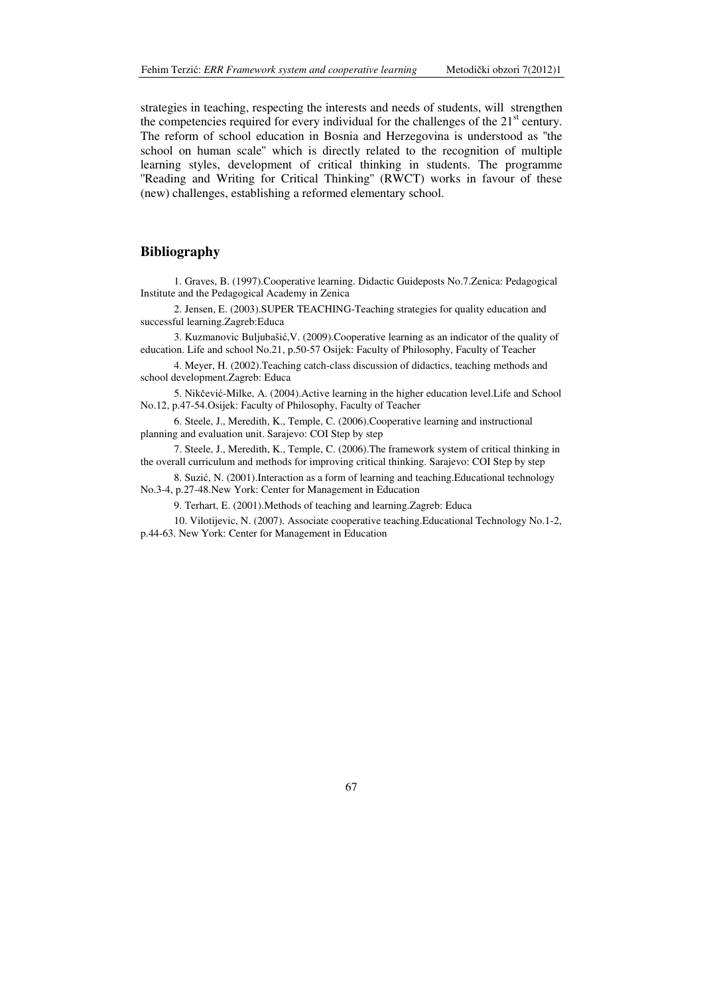strategies in teaching, respecting the interests and needs of students, will strengthen the competencies required for every individual for the challenges of the  $21<sup>st</sup>$  century. The reform of school education in Bosnia and Herzegovina is understood as ''the school on human scale'' which is directly related to the recognition of multiple learning styles, development of critical thinking in students. The programme "Reading and Writing for Critical Thinking" (RWCT) works in favour of these (new) challenges, establishing a reformed elementary school.

# **Bibliography**

1. Graves, B. (1997).Cooperative learning. Didactic Guideposts No.7.Zenica: Pedagogical Institute and the Pedagogical Academy in Zenica

2. Jensen, E. (2003).SUPER TEACHING-Teaching strategies for quality education and successful learning.Zagreb:Educa

3. Kuzmanovic Buljubašić,V. (2009).Cooperative learning as an indicator of the quality of education. Life and school No.21, p.50-57 Osijek: Faculty of Philosophy, Faculty of Teacher

4. Meyer, H. (2002).Teaching catch-class discussion of didactics, teaching methods and school development.Zagreb: Educa

5. Nikčević-Milke, A. (2004).Active learning in the higher education level.Life and School No.12, p.47-54.Osijek: Faculty of Philosophy, Faculty of Teacher

6. Steele, J., Meredith, K., Temple, C. (2006).Cooperative learning and instructional planning and evaluation unit. Sarajevo: COI Step by step

7. Steele, J., Meredith, K., Temple, C. (2006).The framework system of critical thinking in the overall curriculum and methods for improving critical thinking. Sarajevo: COI Step by step

8. Suzić, N. (2001).Interaction as a form of learning and teaching.Educational technology No.3-4, p.27-48.New York: Center for Management in Education

9. Terhart, E. (2001).Methods of teaching and learning.Zagreb: Educa

10. Vilotijevic, N. (2007). Associate cooperative teaching.Educational Technology No.1-2, p.44-63. New York: Center for Management in Education